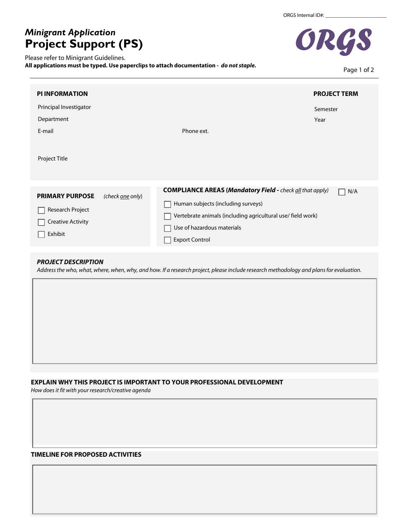# *Minigrant Application* **Project Support (PS)**

Please refer to Minigrant Guidelines.

**All applications must be typed. Use paperclips to attach documentation -** *do not staple.*



Page 1 of 2

| <b>PI INFORMATION</b>                                                             |                         |                                                                                                                                                                                                                              | <b>PROJECT TERM</b> |
|-----------------------------------------------------------------------------------|-------------------------|------------------------------------------------------------------------------------------------------------------------------------------------------------------------------------------------------------------------------|---------------------|
| Principal Investigator<br>Department<br>E-mail<br>Project Title                   |                         | Phone ext.                                                                                                                                                                                                                   | Semester<br>Year    |
| <b>PRIMARY PURPOSE</b><br>Research Project<br><b>Creative Activity</b><br>Exhibit | (check <u>one</u> only) | <b>COMPLIANCE AREAS (Mandatory Field - check all that apply)</b><br>Human subjects (including surveys)<br>Vertebrate animals (including agricultural use/ field work)<br>Use of hazardous materials<br><b>Export Control</b> | N/A                 |

## *PROJECT DESCRIPTION*

*Address the who, what, where, when, why, and how. If a research project, please include research methodology and plans for evaluation.*

# **EXPLAIN WHY THIS PROJECT IS IMPORTANT TO YOUR PROFESSIONAL DEVELOPMENT**

*How does it fit with your research/creative agenda* 

## **TIMELINE FOR PROPOSED ACTIVITIES**